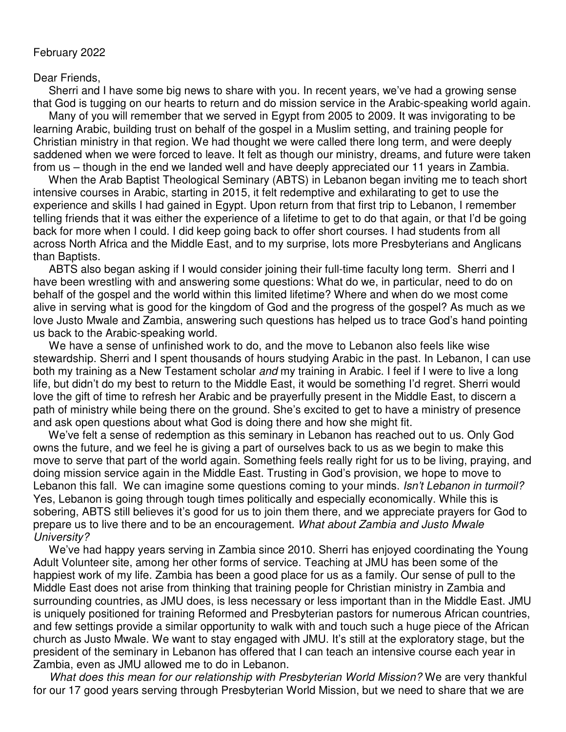## February 2022

## Dear Friends,

 Sherri and I have some big news to share with you. In recent years, we've had a growing sense that God is tugging on our hearts to return and do mission service in the Arabic-speaking world again.

Many of you will remember that we served in Egypt from 2005 to 2009. It was invigorating to be learning Arabic, building trust on behalf of the gospel in a Muslim setting, and training people for Christian ministry in that region. We had thought we were called there long term, and were deeply saddened when we were forced to leave. It felt as though our ministry, dreams, and future were taken from us – though in the end we landed well and have deeply appreciated our 11 years in Zambia.

 When the Arab Baptist Theological Seminary (ABTS) in Lebanon began inviting me to teach short intensive courses in Arabic, starting in 2015, it felt redemptive and exhilarating to get to use the experience and skills I had gained in Egypt. Upon return from that first trip to Lebanon, I remember telling friends that it was either the experience of a lifetime to get to do that again, or that I'd be going back for more when I could. I did keep going back to offer short courses. I had students from all across North Africa and the Middle East, and to my surprise, lots more Presbyterians and Anglicans than Baptists.

 ABTS also began asking if I would consider joining their full-time faculty long term. Sherri and I have been wrestling with and answering some questions: What do we, in particular, need to do on behalf of the gospel and the world within this limited lifetime? Where and when do we most come alive in serving what is good for the kingdom of God and the progress of the gospel? As much as we love Justo Mwale and Zambia, answering such questions has helped us to trace God's hand pointing us back to the Arabic-speaking world.

 We have a sense of unfinished work to do, and the move to Lebanon also feels like wise stewardship. Sherri and I spent thousands of hours studying Arabic in the past. In Lebanon, I can use both my training as a New Testament scholar and my training in Arabic. I feel if I were to live a long life, but didn't do my best to return to the Middle East, it would be something I'd regret. Sherri would love the gift of time to refresh her Arabic and be prayerfully present in the Middle East, to discern a path of ministry while being there on the ground. She's excited to get to have a ministry of presence and ask open questions about what God is doing there and how she might fit.

 We've felt a sense of redemption as this seminary in Lebanon has reached out to us. Only God owns the future, and we feel he is giving a part of ourselves back to us as we begin to make this move to serve that part of the world again. Something feels really right for us to be living, praying, and doing mission service again in the Middle East. Trusting in God's provision, we hope to move to Lebanon this fall. We can imagine some questions coming to your minds. Isn't Lebanon in turmoil? Yes, Lebanon is going through tough times politically and especially economically. While this is sobering, ABTS still believes it's good for us to join them there, and we appreciate prayers for God to prepare us to live there and to be an encouragement. What about Zambia and Justo Mwale University?

 We've had happy years serving in Zambia since 2010. Sherri has enjoyed coordinating the Young Adult Volunteer site, among her other forms of service. Teaching at JMU has been some of the happiest work of my life. Zambia has been a good place for us as a family. Our sense of pull to the Middle East does not arise from thinking that training people for Christian ministry in Zambia and surrounding countries, as JMU does, is less necessary or less important than in the Middle East. JMU is uniquely positioned for training Reformed and Presbyterian pastors for numerous African countries, and few settings provide a similar opportunity to walk with and touch such a huge piece of the African church as Justo Mwale. We want to stay engaged with JMU. It's still at the exploratory stage, but the president of the seminary in Lebanon has offered that I can teach an intensive course each year in Zambia, even as JMU allowed me to do in Lebanon.

 What does this mean for our relationship with Presbyterian World Mission? We are very thankful for our 17 good years serving through Presbyterian World Mission, but we need to share that we are